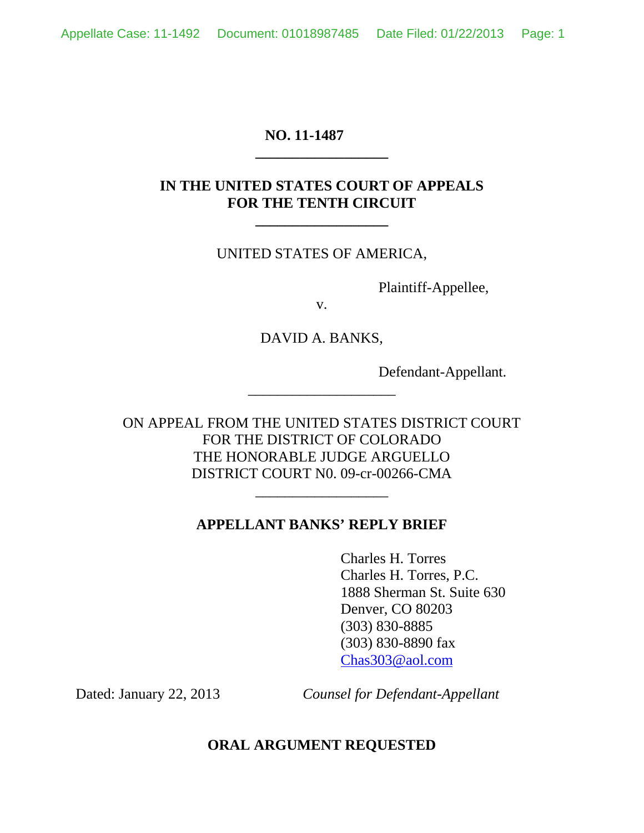# **NO. 11-1487**

# **IN THE UNITED STATES COURT OF APPEALS FOR THE TENTH CIRCUIT**

**\_\_\_\_\_\_\_\_\_\_\_\_\_\_\_\_\_\_**

**\_\_\_\_\_\_\_\_\_\_\_\_\_\_\_\_\_\_**

# UNITED STATES OF AMERICA,

Plaintiff-Appellee,

v.

DAVID A. BANKS,

\_\_\_\_\_\_\_\_\_\_\_\_\_\_\_\_\_\_\_\_

Defendant-Appellant.

ON APPEAL FROM THE UNITED STATES DISTRICT COURT FOR THE DISTRICT OF COLORADO THE HONORABLE JUDGE ARGUELLO DISTRICT COURT N0. 09-cr-00266-CMA

## **APPELLANT BANKS' REPLY BRIEF**

\_\_\_\_\_\_\_\_\_\_\_\_\_\_\_\_\_\_

Charles H. Torres Charles H. Torres, P.C. 1888 Sherman St. Suite 630 Denver, CO 80203 (303) 830-8885 (303) 830-8890 fax Chas303@aol.com

Dated: January 22, 2013 *Counsel for Defendant-Appellant*

## **ORAL ARGUMENT REQUESTED**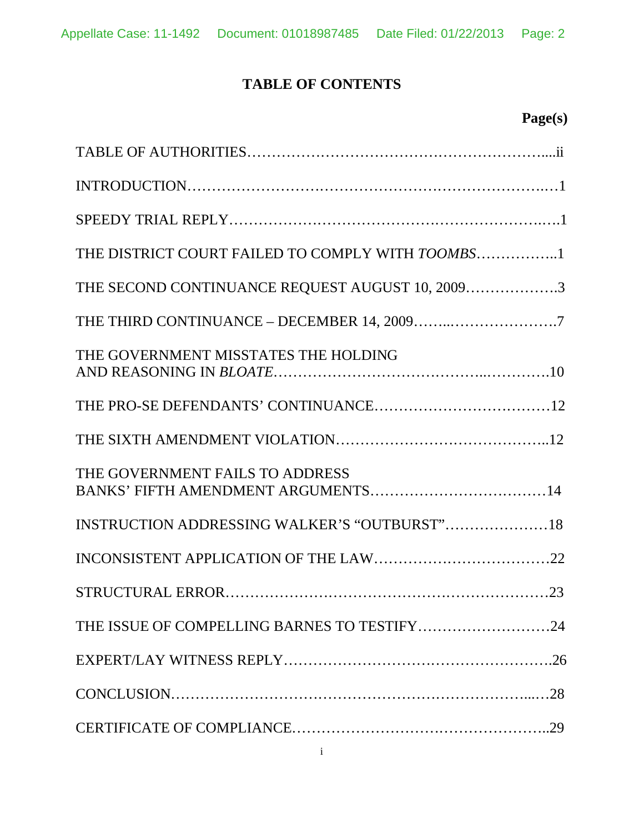# **TABLE OF CONTENTS**

| THE DISTRICT COURT FAILED TO COMPLY WITH TOOMBS1 |
|--------------------------------------------------|
| THE SECOND CONTINUANCE REQUEST AUGUST 10, 20093  |
|                                                  |
| THE GOVERNMENT MISSTATES THE HOLDING             |
|                                                  |
|                                                  |
| THE GOVERNMENT FAILS TO ADDRESS                  |
| INSTRUCTION ADDRESSING WALKER'S "OUTBURST"18     |
|                                                  |
|                                                  |
|                                                  |
|                                                  |
|                                                  |
|                                                  |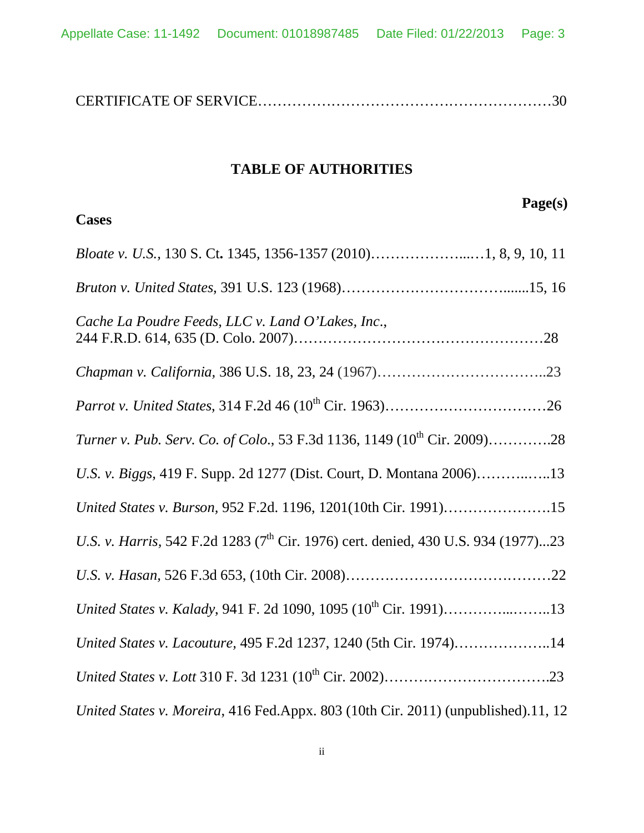## **TABLE OF AUTHORITIES**

# **Page(s) Cases** *Bloate v. U.S.,* 130 S. Ct**.** 1345, 1356-1357 (2010)………………...…1, 8, 9, 10, 11 *Bruton v. United States*, 391 U.S. 123 (1968)…………………………….......15, 16 *Cache La Poudre Feeds, LLC v. Land O'Lakes, Inc*., 244 F.R.D. 614, 635 (D. Colo. 2007)……………………………………………28 *Chapman v. California,* 386 U.S. 18, 23, 24 (1967)……………………………..23 *Parrot v. United States,* 314 F.2d 46 (10<sup>th</sup> Cir. 1963)…………………………………………………………………26 *Turner v. Pub. Serv. Co. of Colo.*, 53 F.3d 1136, 1149 (10<sup>th</sup> Cir. 2009)………….28 *U.S. v. Biggs,* 419 F. Supp. 2d 1277 (Dist. Court, D. Montana 2006)………..…..13 *United States v. Burson,* 952 F.2d. 1196, 1201(10th Cir. 1991)………………….15 *U.S. v. Harris,* 542 F.2d 1283 (7<sup>th</sup> Cir. 1976) cert. denied, 430 U.S. 934 (1977)...23 *U.S. v. Hasan,* 526 F.3d 653, (10th Cir. 2008)……………………………………22 *United States v. Kalady*, 941 F. 2d 1090, 1095 (10<sup>th</sup> Cir. 1991)……………………...13 *United States v. Lacouture,* 495 F.2d 1237, 1240 (5th Cir. 1974)………………..14 *United States v. Lott* 310 F. 3d 1231 (10th Cir. 2002)…………………………….23 *United States v. Moreira*, 416 Fed.Appx. 803 (10th Cir. 2011) (unpublished).11, 12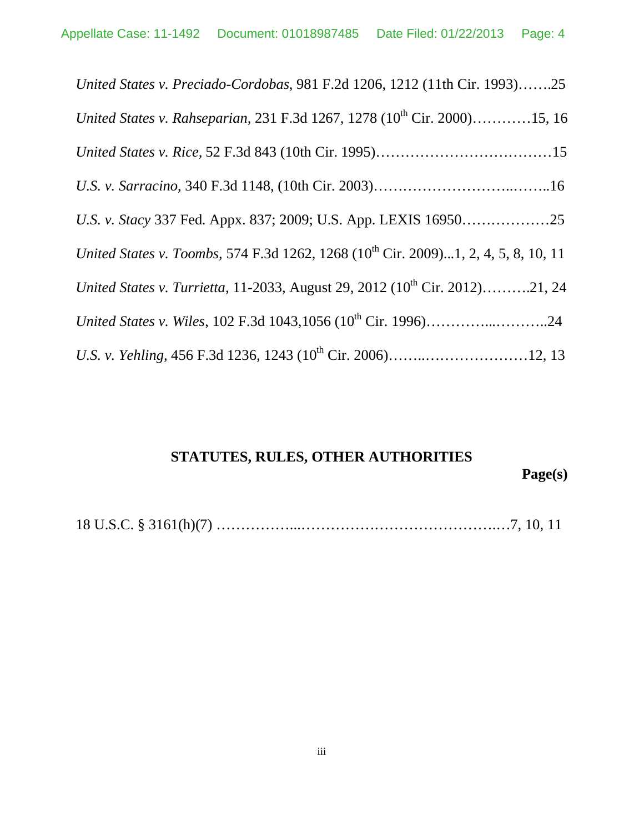| United States v. Preciado-Cordobas, 981 F.2d 1206, 1212 (11th Cir. 1993)25                     |
|------------------------------------------------------------------------------------------------|
| United States v. Rahseparian, 231 F.3d 1267, 1278 (10 <sup>th</sup> Cir. 2000)15, 16           |
|                                                                                                |
|                                                                                                |
|                                                                                                |
| United States v. Toombs, 574 F.3d 1262, 1268 (10 <sup>th</sup> Cir. 2009)1, 2, 4, 5, 8, 10, 11 |
| United States v. Turrietta, 11-2033, August 29, 2012 (10 <sup>th</sup> Cir. 2012)21, 24        |
|                                                                                                |
|                                                                                                |

# **STATUTES, RULES, OTHER AUTHORITIES**

**Page(s)**

18 U.S.C. § 3161(h)(7) ……………...………………………………….…7, 10, 11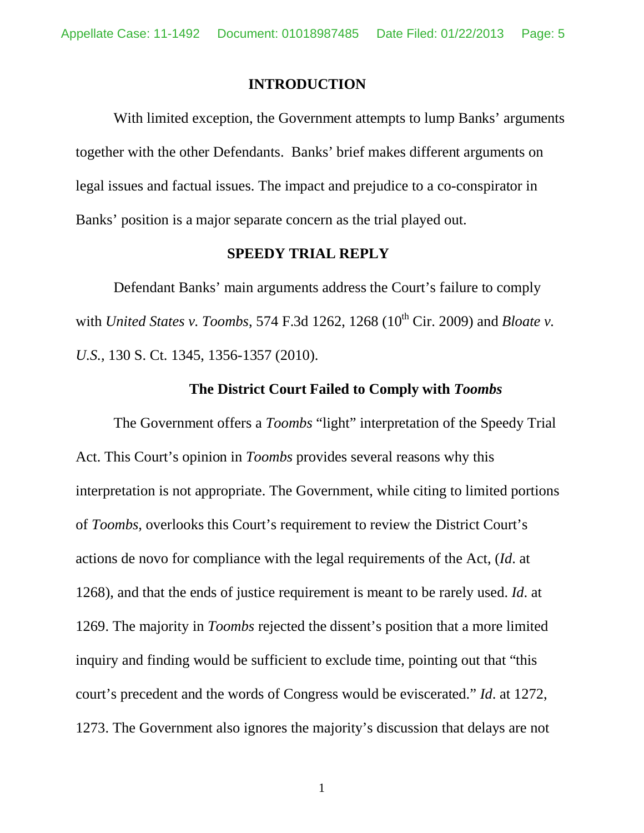#### **INTRODUCTION**

With limited exception, the Government attempts to lump Banks' arguments together with the other Defendants. Banks' brief makes different arguments on legal issues and factual issues. The impact and prejudice to a co-conspirator in Banks' position is a major separate concern as the trial played out.

#### **SPEEDY TRIAL REPLY**

Defendant Banks' main arguments address the Court's failure to comply with *United States v. Toombs*, 574 F.3d 1262, 1268 (10<sup>th</sup> Cir. 2009) and *Bloate v. U.S.,* 130 S. Ct. 1345, 1356-1357 (2010).

## **The District Court Failed to Comply with** *Toombs*

The Government offers a *Toombs* "light" interpretation of the Speedy Trial Act. This Court's opinion in *Toombs* provides several reasons why this interpretation is not appropriate. The Government, while citing to limited portions of *Toombs,* overlooks this Court's requirement to review the District Court's actions de novo for compliance with the legal requirements of the Act, (*Id*. at 1268), and that the ends of justice requirement is meant to be rarely used. *Id*. at 1269. The majority in *Toombs* rejected the dissent's position that a more limited inquiry and finding would be sufficient to exclude time, pointing out that "this court's precedent and the words of Congress would be eviscerated." *Id*. at 1272, 1273. The Government also ignores the majority's discussion that delays are not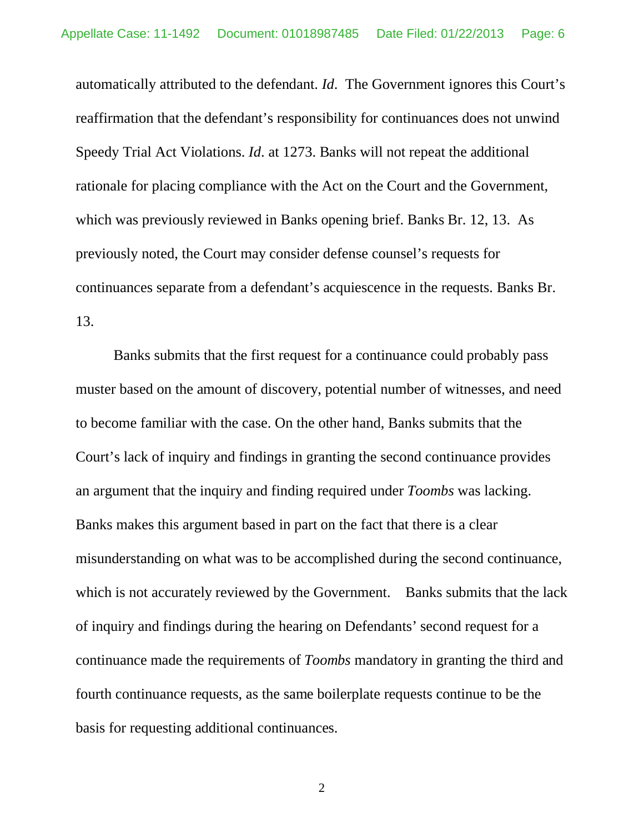automatically attributed to the defendant. *Id*. The Government ignores this Court's reaffirmation that the defendant's responsibility for continuances does not unwind Speedy Trial Act Violations. *Id*. at 1273. Banks will not repeat the additional rationale for placing compliance with the Act on the Court and the Government, which was previously reviewed in Banks opening brief. Banks Br. 12, 13. As previously noted, the Court may consider defense counsel's requests for continuances separate from a defendant's acquiescence in the requests. Banks Br. 13.

Banks submits that the first request for a continuance could probably pass muster based on the amount of discovery, potential number of witnesses, and need to become familiar with the case. On the other hand, Banks submits that the Court's lack of inquiry and findings in granting the second continuance provides an argument that the inquiry and finding required under *Toombs* was lacking. Banks makes this argument based in part on the fact that there is a clear misunderstanding on what was to be accomplished during the second continuance, which is not accurately reviewed by the Government. Banks submits that the lack of inquiry and findings during the hearing on Defendants' second request for a continuance made the requirements of *Toombs* mandatory in granting the third and fourth continuance requests, as the same boilerplate requests continue to be the basis for requesting additional continuances.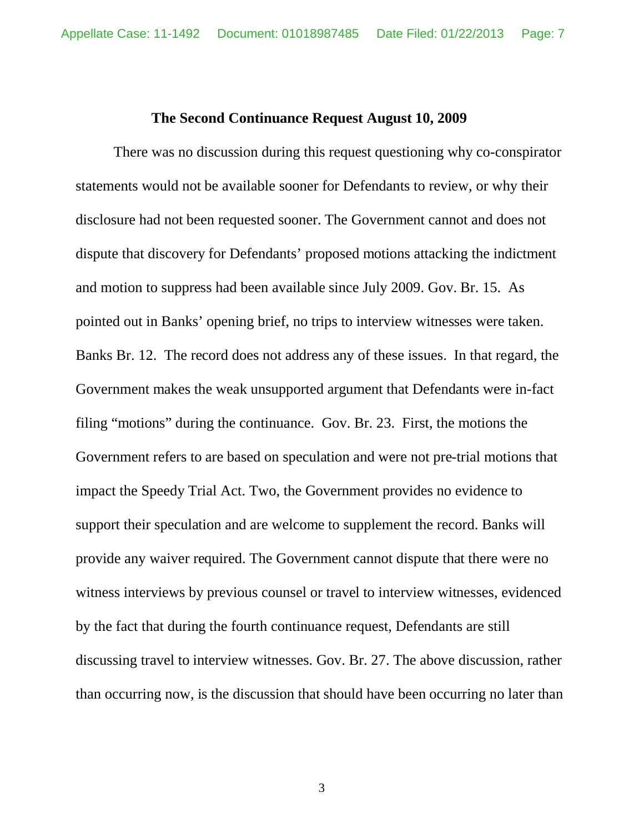#### **The Second Continuance Request August 10, 2009**

There was no discussion during this request questioning why co-conspirator statements would not be available sooner for Defendants to review, or why their disclosure had not been requested sooner. The Government cannot and does not dispute that discovery for Defendants' proposed motions attacking the indictment and motion to suppress had been available since July 2009. Gov. Br. 15. As pointed out in Banks' opening brief, no trips to interview witnesses were taken. Banks Br. 12. The record does not address any of these issues. In that regard, the Government makes the weak unsupported argument that Defendants were in-fact filing "motions" during the continuance. Gov. Br. 23. First, the motions the Government refers to are based on speculation and were not pre-trial motions that impact the Speedy Trial Act. Two, the Government provides no evidence to support their speculation and are welcome to supplement the record. Banks will provide any waiver required. The Government cannot dispute that there were no witness interviews by previous counsel or travel to interview witnesses, evidenced by the fact that during the fourth continuance request, Defendants are still discussing travel to interview witnesses. Gov. Br. 27. The above discussion, rather than occurring now, is the discussion that should have been occurring no later than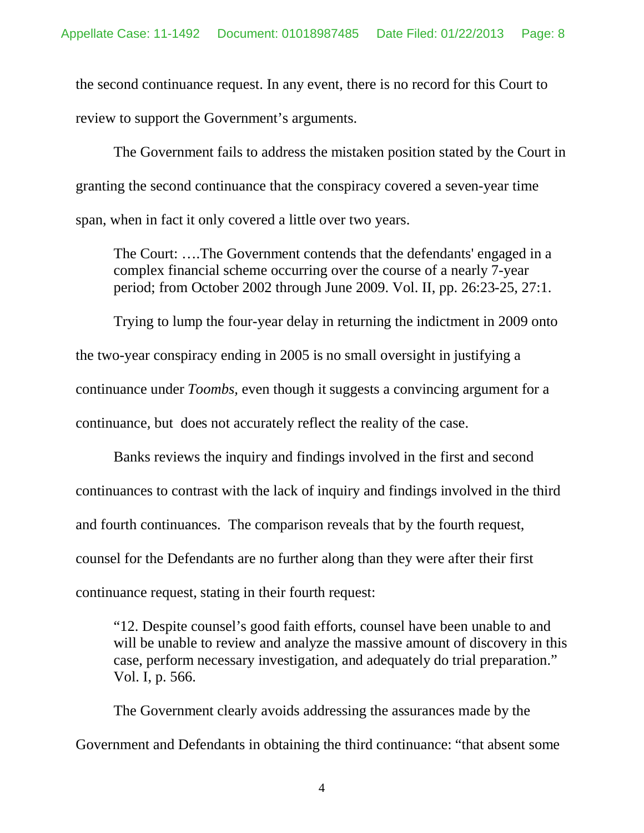the second continuance request. In any event, there is no record for this Court to review to support the Government's arguments.

The Government fails to address the mistaken position stated by the Court in granting the second continuance that the conspiracy covered a seven-year time span, when in fact it only covered a little over two years.

The Court: ….The Government contends that the defendants' engaged in a complex financial scheme occurring over the course of a nearly 7-year period; from October 2002 through June 2009. Vol. II, pp. 26:23-25, 27:1.

Trying to lump the four-year delay in returning the indictment in 2009 onto the two-year conspiracy ending in 2005 is no small oversight in justifying a continuance under *Toombs,* even though it suggests a convincing argument for a continuance, but does not accurately reflect the reality of the case.

Banks reviews the inquiry and findings involved in the first and second continuances to contrast with the lack of inquiry and findings involved in the third and fourth continuances. The comparison reveals that by the fourth request, counsel for the Defendants are no further along than they were after their first continuance request, stating in their fourth request:

"12. Despite counsel's good faith efforts, counsel have been unable to and will be unable to review and analyze the massive amount of discovery in this case, perform necessary investigation, and adequately do trial preparation." Vol. I, p. 566.

The Government clearly avoids addressing the assurances made by the Government and Defendants in obtaining the third continuance: "that absent some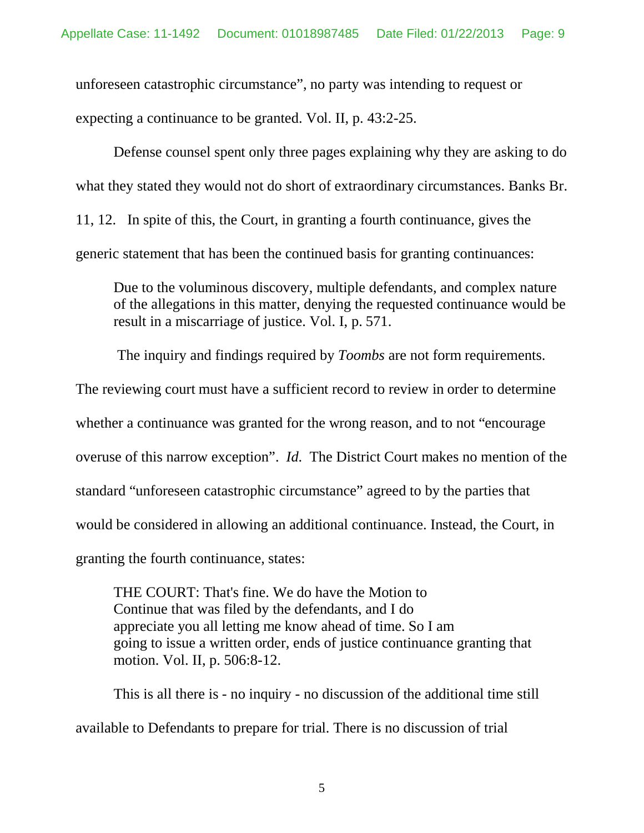unforeseen catastrophic circumstance", no party was intending to request or expecting a continuance to be granted. Vol. II, p. 43:2-25.

Defense counsel spent only three pages explaining why they are asking to do what they stated they would not do short of extraordinary circumstances. Banks Br. 11, 12. In spite of this, the Court, in granting a fourth continuance, gives the generic statement that has been the continued basis for granting continuances:

Due to the voluminous discovery, multiple defendants, and complex nature of the allegations in this matter, denying the requested continuance would be result in a miscarriage of justice. Vol. I, p. 571.

The inquiry and findings required by *Toombs* are not form requirements. The reviewing court must have a sufficient record to review in order to determine whether a continuance was granted for the wrong reason, and to not "encourage overuse of this narrow exception". *Id*. The District Court makes no mention of the standard "unforeseen catastrophic circumstance" agreed to by the parties that would be considered in allowing an additional continuance. Instead, the Court, in granting the fourth continuance, states:

THE COURT: That's fine. We do have the Motion to Continue that was filed by the defendants, and I do appreciate you all letting me know ahead of time. So I am going to issue a written order, ends of justice continuance granting that motion. Vol. II, p. 506:8-12.

This is all there is - no inquiry - no discussion of the additional time still available to Defendants to prepare for trial. There is no discussion of trial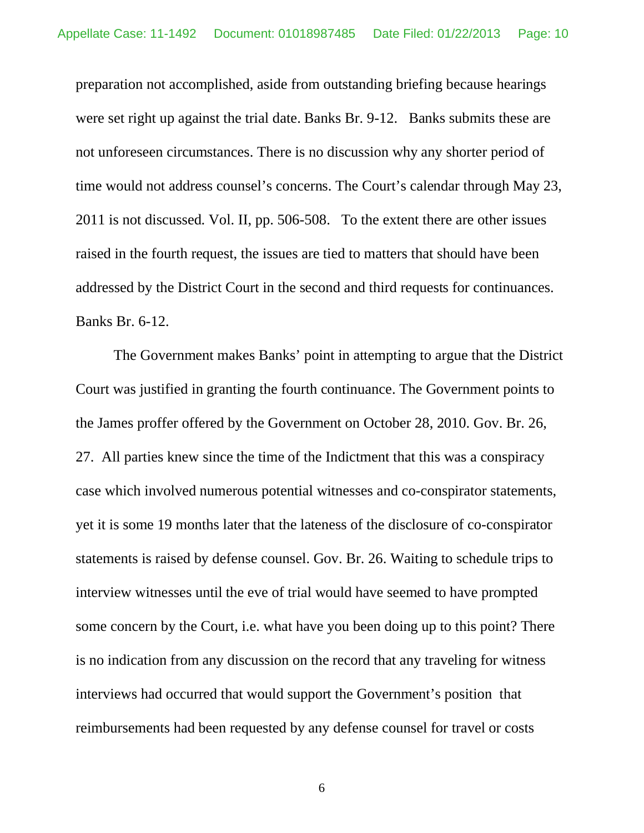preparation not accomplished, aside from outstanding briefing because hearings were set right up against the trial date. Banks Br. 9-12. Banks submits these are not unforeseen circumstances. There is no discussion why any shorter period of time would not address counsel's concerns. The Court's calendar through May 23, 2011 is not discussed. Vol. II, pp. 506-508. To the extent there are other issues raised in the fourth request, the issues are tied to matters that should have been addressed by the District Court in the second and third requests for continuances. Banks Br. 6-12.

The Government makes Banks' point in attempting to argue that the District Court was justified in granting the fourth continuance. The Government points to the James proffer offered by the Government on October 28, 2010. Gov. Br. 26, 27. All parties knew since the time of the Indictment that this was a conspiracy case which involved numerous potential witnesses and co-conspirator statements, yet it is some 19 months later that the lateness of the disclosure of co-conspirator statements is raised by defense counsel. Gov. Br. 26. Waiting to schedule trips to interview witnesses until the eve of trial would have seemed to have prompted some concern by the Court, i.e. what have you been doing up to this point? There is no indication from any discussion on the record that any traveling for witness interviews had occurred that would support the Government's position that reimbursements had been requested by any defense counsel for travel or costs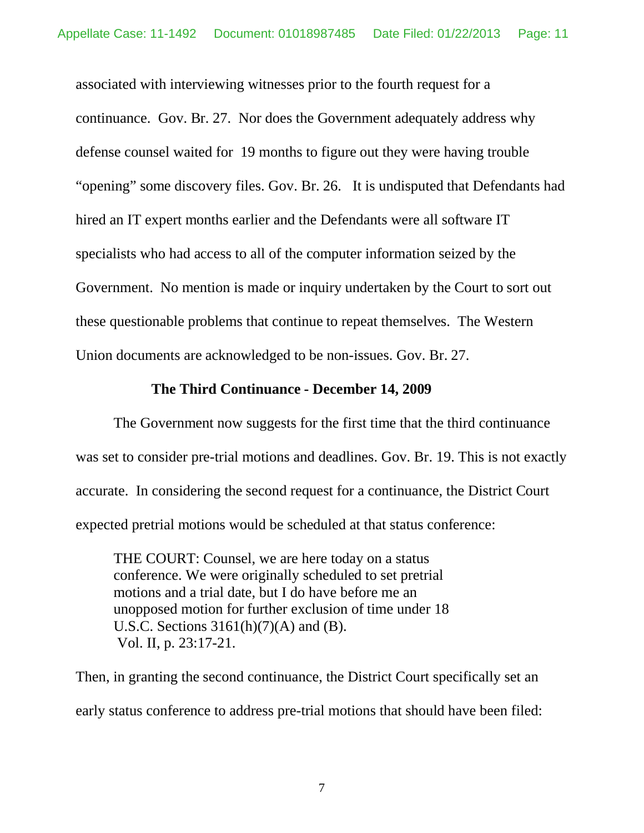associated with interviewing witnesses prior to the fourth request for a continuance. Gov. Br. 27. Nor does the Government adequately address why defense counsel waited for 19 months to figure out they were having trouble "opening" some discovery files. Gov. Br. 26. It is undisputed that Defendants had hired an IT expert months earlier and the Defendants were all software IT specialists who had access to all of the computer information seized by the Government. No mention is made or inquiry undertaken by the Court to sort out these questionable problems that continue to repeat themselves. The Western Union documents are acknowledged to be non-issues. Gov. Br. 27.

# **The Third Continuance - December 14, 2009**

The Government now suggests for the first time that the third continuance was set to consider pre-trial motions and deadlines. Gov. Br. 19. This is not exactly accurate. In considering the second request for a continuance, the District Court expected pretrial motions would be scheduled at that status conference:

THE COURT: Counsel, we are here today on a status conference. We were originally scheduled to set pretrial motions and a trial date, but I do have before me an unopposed motion for further exclusion of time under 18 U.S.C. Sections  $3161(h)(7)(A)$  and  $(B)$ . Vol. II, p. 23:17-21.

Then, in granting the second continuance, the District Court specifically set an early status conference to address pre-trial motions that should have been filed: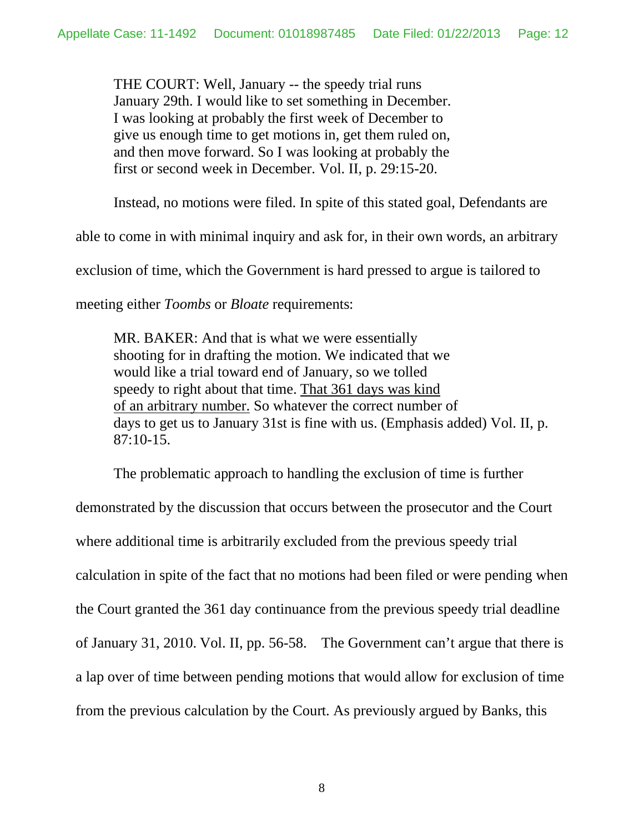THE COURT: Well, January -- the speedy trial runs January 29th. I would like to set something in December. I was looking at probably the first week of December to give us enough time to get motions in, get them ruled on, and then move forward. So I was looking at probably the first or second week in December. Vol. II, p. 29:15-20.

Instead, no motions were filed. In spite of this stated goal, Defendants are

able to come in with minimal inquiry and ask for, in their own words, an arbitrary

exclusion of time, which the Government is hard pressed to argue is tailored to

meeting either *Toombs* or *Bloate* requirements:

MR. BAKER: And that is what we were essentially shooting for in drafting the motion. We indicated that we would like a trial toward end of January, so we tolled speedy to right about that time. That 361 days was kind of an arbitrary number. So whatever the correct number of days to get us to January 31st is fine with us. (Emphasis added) Vol. II, p. 87:10-15.

The problematic approach to handling the exclusion of time is further

demonstrated by the discussion that occurs between the prosecutor and the Court where additional time is arbitrarily excluded from the previous speedy trial calculation in spite of the fact that no motions had been filed or were pending when the Court granted the 361 day continuance from the previous speedy trial deadline of January 31, 2010. Vol. II, pp. 56-58. The Government can't argue that there is a lap over of time between pending motions that would allow for exclusion of time from the previous calculation by the Court. As previously argued by Banks, this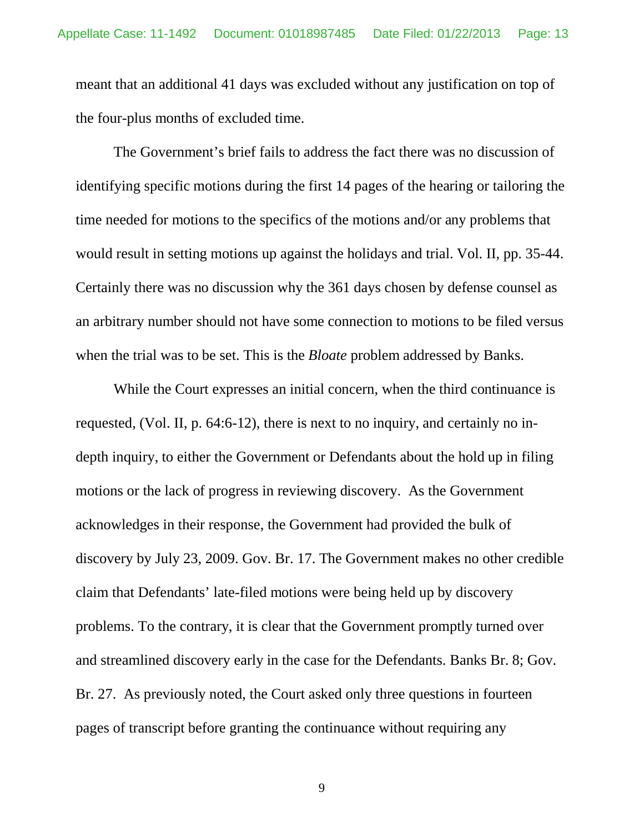meant that an additional 41 days was excluded without any justification on top of the four-plus months of excluded time.

The Government's brief fails to address the fact there was no discussion of identifying specific motions during the first 14 pages of the hearing or tailoring the time needed for motions to the specifics of the motions and/or any problems that would result in setting motions up against the holidays and trial. Vol. II, pp. 35-44. Certainly there was no discussion why the 361 days chosen by defense counsel as an arbitrary number should not have some connection to motions to be filed versus when the trial was to be set. This is the *Bloate* problem addressed by Banks.

While the Court expresses an initial concern, when the third continuance is requested, (Vol. II, p. 64:6-12), there is next to no inquiry, and certainly no indepth inquiry, to either the Government or Defendants about the hold up in filing motions or the lack of progress in reviewing discovery. As the Government acknowledges in their response, the Government had provided the bulk of discovery by July 23, 2009. Gov. Br. 17. The Government makes no other credible claim that Defendants' late-filed motions were being held up by discovery problems. To the contrary, it is clear that the Government promptly turned over and streamlined discovery early in the case for the Defendants. Banks Br. 8; Gov. Br. 27. As previously noted, the Court asked only three questions in fourteen pages of transcript before granting the continuance without requiring any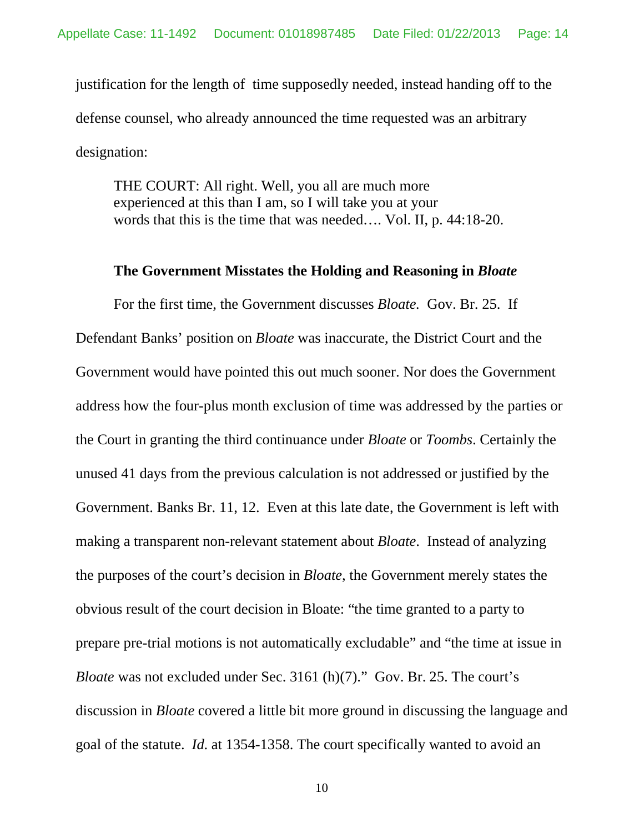justification for the length of time supposedly needed, instead handing off to the defense counsel, who already announced the time requested was an arbitrary designation:

THE COURT: All right. Well, you all are much more experienced at this than I am, so I will take you at your words that this is the time that was needed…. Vol. II, p. 44:18-20.

#### **The Government Misstates the Holding and Reasoning in** *Bloate*

For the first time, the Government discusses *Bloate.* Gov. Br. 25. If Defendant Banks' position on *Bloate* was inaccurate, the District Court and the Government would have pointed this out much sooner. Nor does the Government address how the four-plus month exclusion of time was addressed by the parties or the Court in granting the third continuance under *Bloate* or *Toombs*. Certainly the unused 41 days from the previous calculation is not addressed or justified by the Government. Banks Br. 11, 12. Even at this late date, the Government is left with making a transparent non-relevant statement about *Bloate*. Instead of analyzing the purposes of the court's decision in *Bloate*, the Government merely states the obvious result of the court decision in Bloate: "the time granted to a party to prepare pre-trial motions is not automatically excludable" and "the time at issue in *Bloate* was not excluded under Sec. 3161 (h)(7)." Gov. Br. 25. The court's discussion in *Bloate* covered a little bit more ground in discussing the language and goal of the statute. *Id*. at 1354-1358. The court specifically wanted to avoid an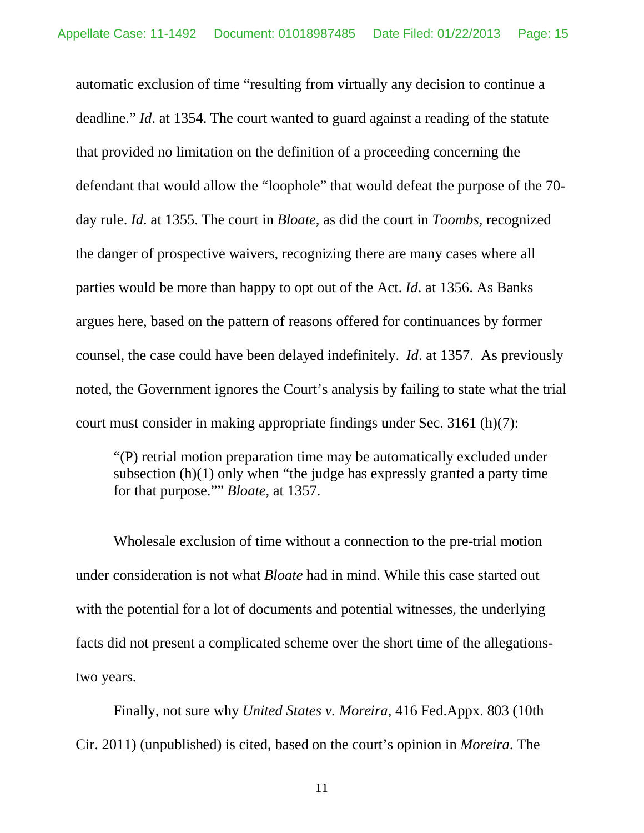automatic exclusion of time "resulting from virtually any decision to continue a deadline." *Id*. at 1354. The court wanted to guard against a reading of the statute that provided no limitation on the definition of a proceeding concerning the defendant that would allow the "loophole" that would defeat the purpose of the 70 day rule. *Id*. at 1355. The court in *Bloate,* as did the court in *Toombs,* recognized the danger of prospective waivers, recognizing there are many cases where all parties would be more than happy to opt out of the Act. *Id*. at 1356. As Banks argues here, based on the pattern of reasons offered for continuances by former counsel, the case could have been delayed indefinitely. *Id*. at 1357. As previously noted, the Government ignores the Court's analysis by failing to state what the trial court must consider in making appropriate findings under Sec. 3161 (h)(7):

"(P) retrial motion preparation time may be automatically excluded under subsection (h)(1) only when "the judge has expressly granted a party time for that purpose."" *Bloate,* at 1357.

Wholesale exclusion of time without a connection to the pre-trial motion under consideration is not what *Bloate* had in mind. While this case started out with the potential for a lot of documents and potential witnesses, the underlying facts did not present a complicated scheme over the short time of the allegationstwo years.

Finally, not sure why *United States v. Moreira*, 416 Fed.Appx. 803 (10th Cir. 2011) (unpublished) is cited, based on the court's opinion in *Moreira*. The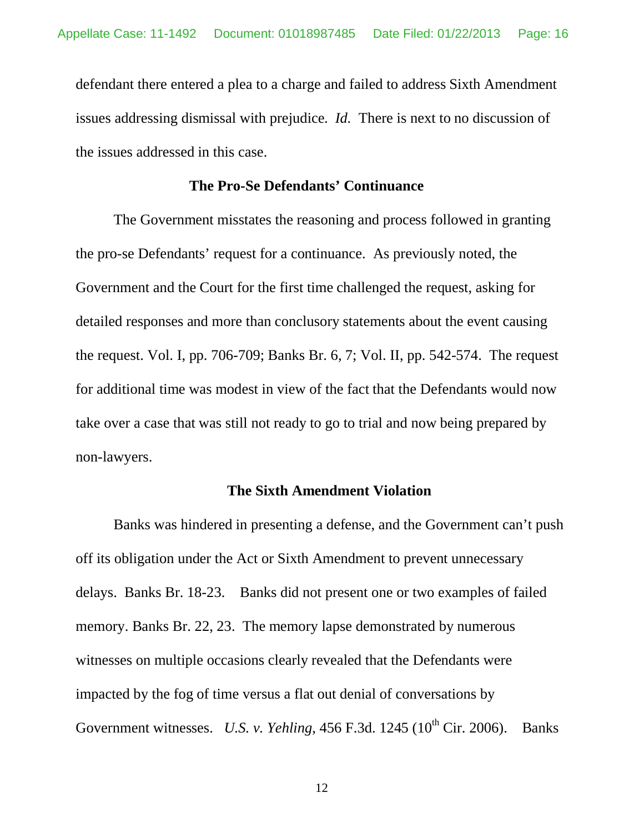defendant there entered a plea to a charge and failed to address Sixth Amendment issues addressing dismissal with prejudice. *Id.* There is next to no discussion of the issues addressed in this case.

# **The Pro-Se Defendants' Continuance**

The Government misstates the reasoning and process followed in granting the pro-se Defendants' request for a continuance. As previously noted, the Government and the Court for the first time challenged the request, asking for detailed responses and more than conclusory statements about the event causing the request. Vol. I, pp. 706-709; Banks Br. 6, 7; Vol. II, pp. 542-574. The request for additional time was modest in view of the fact that the Defendants would now take over a case that was still not ready to go to trial and now being prepared by non-lawyers.

## **The Sixth Amendment Violation**

Banks was hindered in presenting a defense, and the Government can't push off its obligation under the Act or Sixth Amendment to prevent unnecessary delays. Banks Br. 18-23. Banks did not present one or two examples of failed memory. Banks Br. 22, 23. The memory lapse demonstrated by numerous witnesses on multiple occasions clearly revealed that the Defendants were impacted by the fog of time versus a flat out denial of conversations by Government witnesses. *U.S. v. Yehling*, 456 F.3d. 1245 (10<sup>th</sup> Cir. 2006). Banks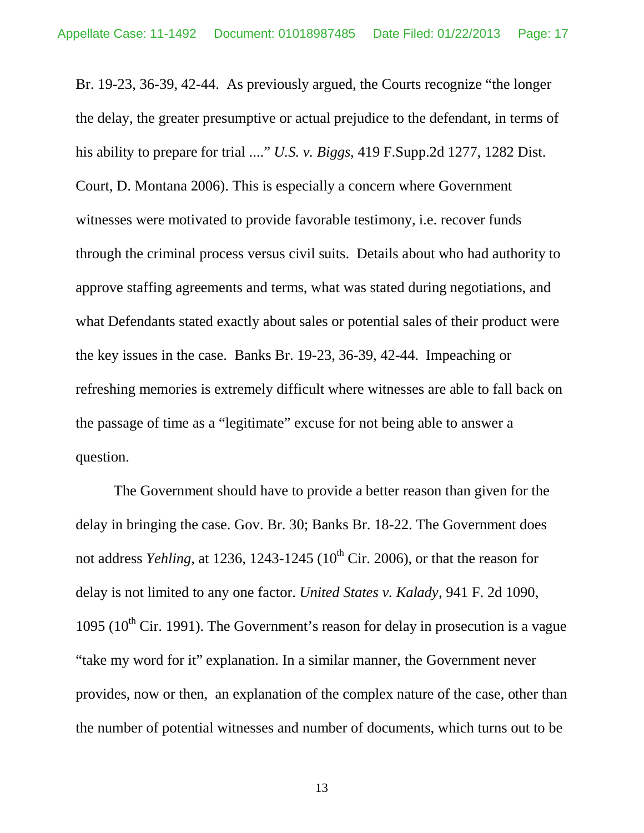Br. 19-23, 36-39, 42-44. As previously argued, the Courts recognize "the longer the delay, the greater presumptive or actual prejudice to the defendant, in terms of his ability to prepare for trial ...." *U.S. v. Biggs*, 419 F.Supp.2d 1277, 1282 Dist. Court, D. Montana 2006). This is especially a concern where Government witnesses were motivated to provide favorable testimony, i.e. recover funds through the criminal process versus civil suits. Details about who had authority to approve staffing agreements and terms, what was stated during negotiations, and what Defendants stated exactly about sales or potential sales of their product were the key issues in the case. Banks Br. 19-23, 36-39, 42-44. Impeaching or refreshing memories is extremely difficult where witnesses are able to fall back on the passage of time as a "legitimate" excuse for not being able to answer a question.

The Government should have to provide a better reason than given for the delay in bringing the case. Gov. Br. 30; Banks Br. 18-22. The Government does not address *Yehling*, at 1236, 1243-1245 ( $10<sup>th</sup>$  Cir. 2006), or that the reason for delay is not limited to any one factor. *United States v. Kalady*, 941 F. 2d 1090, 1095 ( $10^{th}$  Cir. 1991). The Government's reason for delay in prosecution is a vague "take my word for it" explanation. In a similar manner, the Government never provides, now or then, an explanation of the complex nature of the case, other than the number of potential witnesses and number of documents, which turns out to be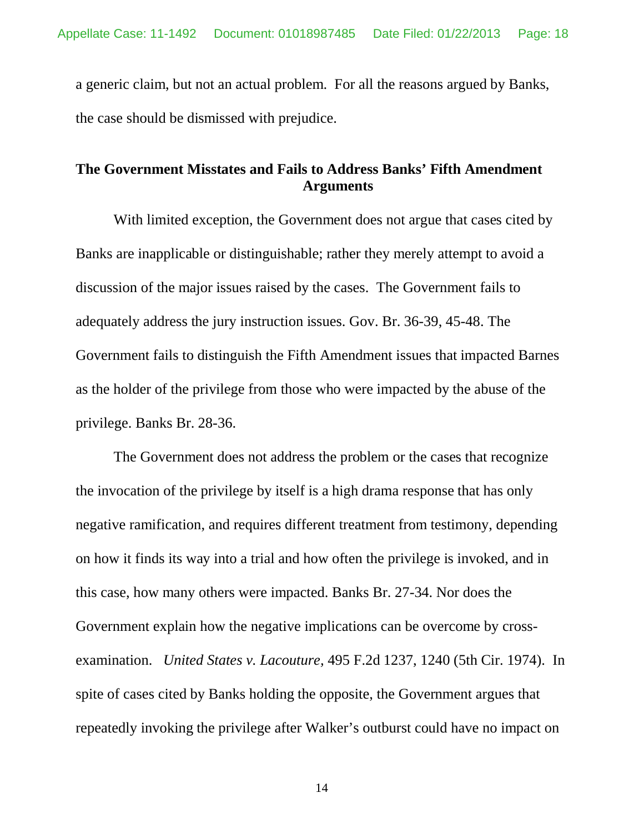a generic claim, but not an actual problem. For all the reasons argued by Banks, the case should be dismissed with prejudice.

# **The Government Misstates and Fails to Address Banks' Fifth Amendment Arguments**

With limited exception, the Government does not argue that cases cited by Banks are inapplicable or distinguishable; rather they merely attempt to avoid a discussion of the major issues raised by the cases. The Government fails to adequately address the jury instruction issues. Gov. Br. 36-39, 45-48. The Government fails to distinguish the Fifth Amendment issues that impacted Barnes as the holder of the privilege from those who were impacted by the abuse of the privilege. Banks Br. 28-36.

The Government does not address the problem or the cases that recognize the invocation of the privilege by itself is a high drama response that has only negative ramification, and requires different treatment from testimony, depending on how it finds its way into a trial and how often the privilege is invoked, and in this case, how many others were impacted. Banks Br. 27-34. Nor does the Government explain how the negative implications can be overcome by crossexamination. *United States v. Lacouture,* 495 F.2d 1237, 1240 (5th Cir. 1974). In spite of cases cited by Banks holding the opposite, the Government argues that repeatedly invoking the privilege after Walker's outburst could have no impact on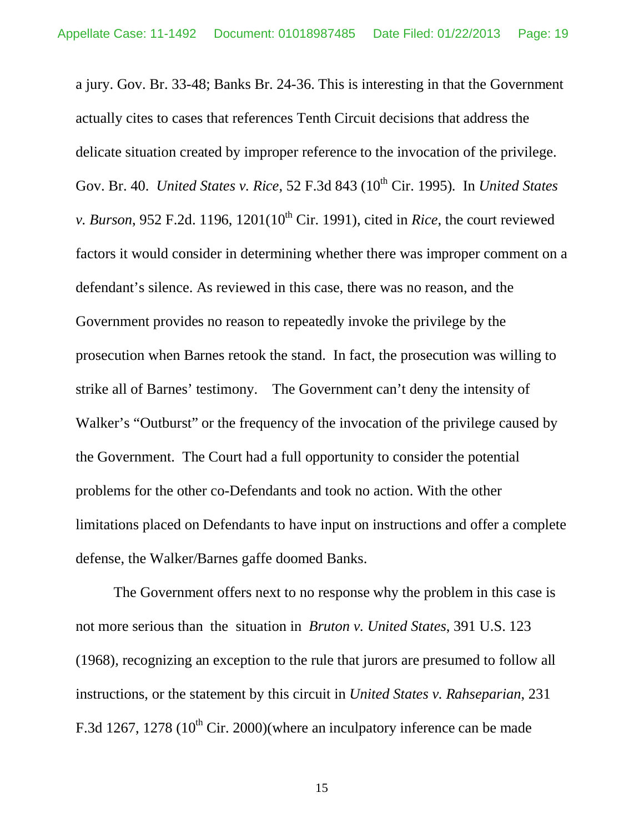a jury. Gov. Br. 33-48; Banks Br. 24-36. This is interesting in that the Government actually cites to cases that references Tenth Circuit decisions that address the delicate situation created by improper reference to the invocation of the privilege. Gov. Br. 40. *United States v. Rice*, 52 F.3d 843 (10<sup>th</sup> Cir. 1995). In *United States v. Burson*, 952 F.2d. 1196, 1201( $10^{th}$  Cir. 1991), cited in *Rice*, the court reviewed factors it would consider in determining whether there was improper comment on a defendant's silence. As reviewed in this case, there was no reason, and the Government provides no reason to repeatedly invoke the privilege by the prosecution when Barnes retook the stand. In fact, the prosecution was willing to strike all of Barnes' testimony. The Government can't deny the intensity of Walker's "Outburst" or the frequency of the invocation of the privilege caused by the Government. The Court had a full opportunity to consider the potential problems for the other co-Defendants and took no action. With the other limitations placed on Defendants to have input on instructions and offer a complete defense, the Walker/Barnes gaffe doomed Banks.

The Government offers next to no response why the problem in this case is not more serious than the situation in *Bruton v. United States*, 391 U.S. 123 (1968)*,* recognizing an exception to the rule that jurors are presumed to follow all instructions, or the statement by this circuit in *United States v. Rahseparian*, 231 F.3d 1267, 1278 ( $10^{th}$  Cir. 2000)(where an inculpatory inference can be made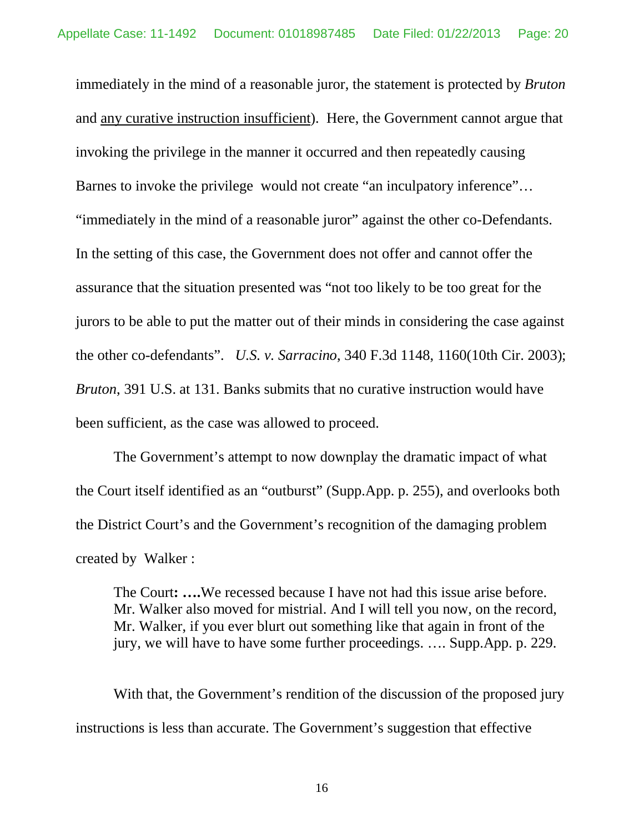immediately in the mind of a reasonable juror, the statement is protected by *Bruton* and any curative instruction insufficient). Here, the Government cannot argue that invoking the privilege in the manner it occurred and then repeatedly causing Barnes to invoke the privilege would not create "an inculpatory inference"… "immediately in the mind of a reasonable juror" against the other co-Defendants. In the setting of this case, the Government does not offer and cannot offer the assurance that the situation presented was "not too likely to be too great for the jurors to be able to put the matter out of their minds in considering the case against the other co-defendants". *U.S. v. Sarracino*, 340 F.3d 1148, 1160(10th Cir. 2003); *Bruton*, 391 U.S. at 131. Banks submits that no curative instruction would have been sufficient, as the case was allowed to proceed.

The Government's attempt to now downplay the dramatic impact of what the Court itself identified as an "outburst" (Supp.App. p. 255), and overlooks both the District Court's and the Government's recognition of the damaging problem created by Walker :

The Court**: ….**We recessed because I have not had this issue arise before. Mr. Walker also moved for mistrial. And I will tell you now, on the record, Mr. Walker, if you ever blurt out something like that again in front of the jury, we will have to have some further proceedings. …. Supp.App. p. 229.

With that, the Government's rendition of the discussion of the proposed jury instructions is less than accurate. The Government's suggestion that effective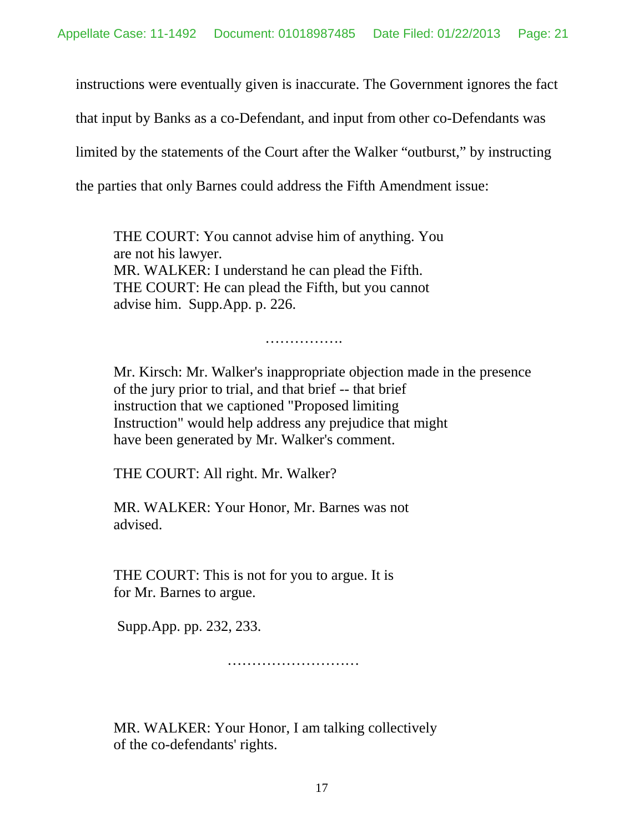instructions were eventually given is inaccurate. The Government ignores the fact

that input by Banks as a co-Defendant, and input from other co-Defendants was

limited by the statements of the Court after the Walker "outburst," by instructing

the parties that only Barnes could address the Fifth Amendment issue:

THE COURT: You cannot advise him of anything. You are not his lawyer. MR. WALKER: I understand he can plead the Fifth. THE COURT: He can plead the Fifth, but you cannot advise him. Supp.App. p. 226.

. . . . . . . . . . . . . .

Mr. Kirsch: Mr. Walker's inappropriate objection made in the presence of the jury prior to trial, and that brief -- that brief instruction that we captioned "Proposed limiting Instruction" would help address any prejudice that might have been generated by Mr. Walker's comment.

THE COURT: All right. Mr. Walker?

MR. WALKER: Your Honor, Mr. Barnes was not advised.

THE COURT: This is not for you to argue. It is for Mr. Barnes to argue.

Supp.App. pp. 232, 233.

………………………………

MR. WALKER: Your Honor, I am talking collectively of the co-defendants' rights.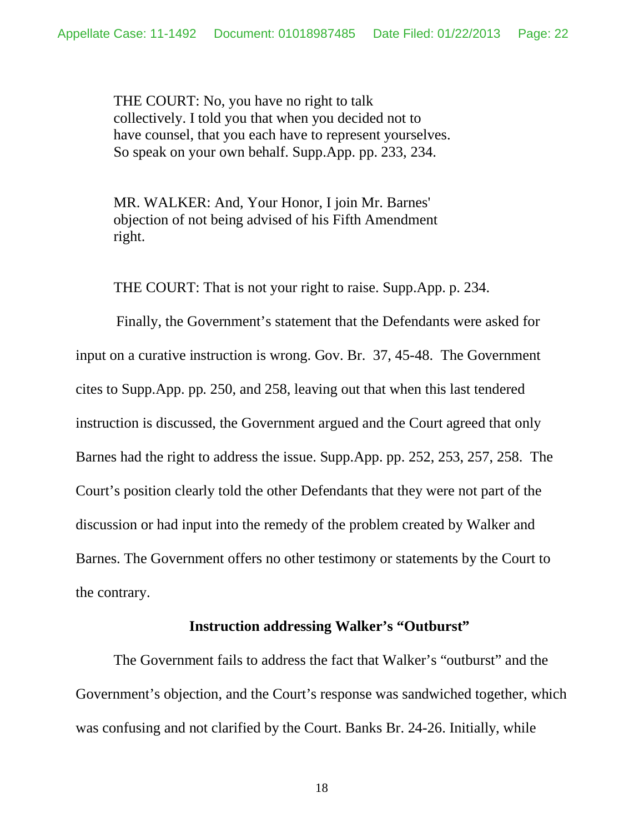THE COURT: No, you have no right to talk collectively. I told you that when you decided not to have counsel, that you each have to represent yourselves. So speak on your own behalf. Supp.App. pp. 233, 234.

MR. WALKER: And, Your Honor, I join Mr. Barnes' objection of not being advised of his Fifth Amendment right.

THE COURT: That is not your right to raise. Supp.App. p. 234.

Finally, the Government's statement that the Defendants were asked for input on a curative instruction is wrong. Gov. Br. 37, 45-48. The Government cites to Supp.App. pp. 250, and 258, leaving out that when this last tendered instruction is discussed, the Government argued and the Court agreed that only Barnes had the right to address the issue. Supp.App. pp. 252, 253, 257, 258. The Court's position clearly told the other Defendants that they were not part of the discussion or had input into the remedy of the problem created by Walker and Barnes. The Government offers no other testimony or statements by the Court to the contrary.

## **Instruction addressing Walker's "Outburst"**

The Government fails to address the fact that Walker's "outburst" and the Government's objection, and the Court's response was sandwiched together, which was confusing and not clarified by the Court. Banks Br. 24-26. Initially, while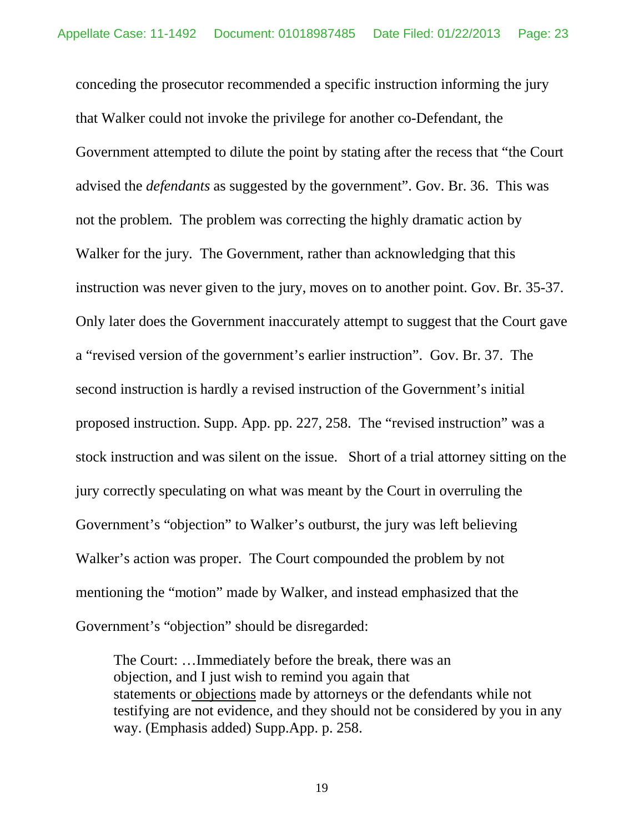conceding the prosecutor recommended a specific instruction informing the jury that Walker could not invoke the privilege for another co-Defendant, the Government attempted to dilute the point by stating after the recess that "the Court advised the *defendants* as suggested by the government". Gov. Br. 36. This was not the problem. The problem was correcting the highly dramatic action by Walker for the jury. The Government, rather than acknowledging that this instruction was never given to the jury, moves on to another point. Gov. Br. 35-37. Only later does the Government inaccurately attempt to suggest that the Court gave a "revised version of the government's earlier instruction". Gov. Br. 37. The second instruction is hardly a revised instruction of the Government's initial proposed instruction. Supp. App. pp. 227, 258. The "revised instruction" was a stock instruction and was silent on the issue. Short of a trial attorney sitting on the jury correctly speculating on what was meant by the Court in overruling the Government's "objection" to Walker's outburst, the jury was left believing Walker's action was proper. The Court compounded the problem by not mentioning the "motion" made by Walker, and instead emphasized that the Government's "objection" should be disregarded:

The Court: …Immediately before the break, there was an objection, and I just wish to remind you again that statements or objections made by attorneys or the defendants while not testifying are not evidence, and they should not be considered by you in any way. (Emphasis added) Supp.App. p. 258.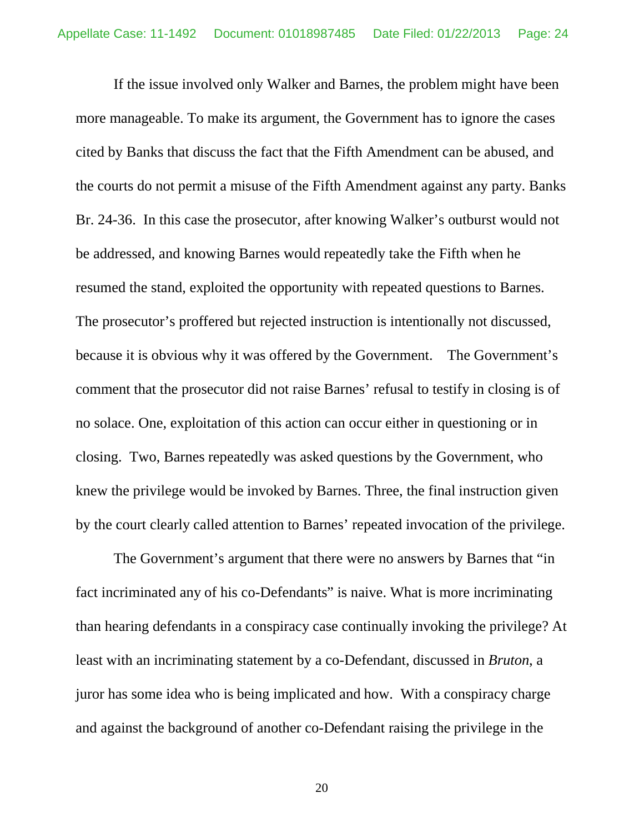If the issue involved only Walker and Barnes, the problem might have been more manageable. To make its argument, the Government has to ignore the cases cited by Banks that discuss the fact that the Fifth Amendment can be abused, and the courts do not permit a misuse of the Fifth Amendment against any party. Banks Br. 24-36. In this case the prosecutor, after knowing Walker's outburst would not be addressed, and knowing Barnes would repeatedly take the Fifth when he resumed the stand, exploited the opportunity with repeated questions to Barnes. The prosecutor's proffered but rejected instruction is intentionally not discussed, because it is obvious why it was offered by the Government. The Government's comment that the prosecutor did not raise Barnes' refusal to testify in closing is of no solace. One, exploitation of this action can occur either in questioning or in closing. Two, Barnes repeatedly was asked questions by the Government, who knew the privilege would be invoked by Barnes. Three, the final instruction given by the court clearly called attention to Barnes' repeated invocation of the privilege.

The Government's argument that there were no answers by Barnes that "in fact incriminated any of his co-Defendants" is naive. What is more incriminating than hearing defendants in a conspiracy case continually invoking the privilege? At least with an incriminating statement by a co-Defendant, discussed in *Bruton*, a juror has some idea who is being implicated and how. With a conspiracy charge and against the background of another co-Defendant raising the privilege in the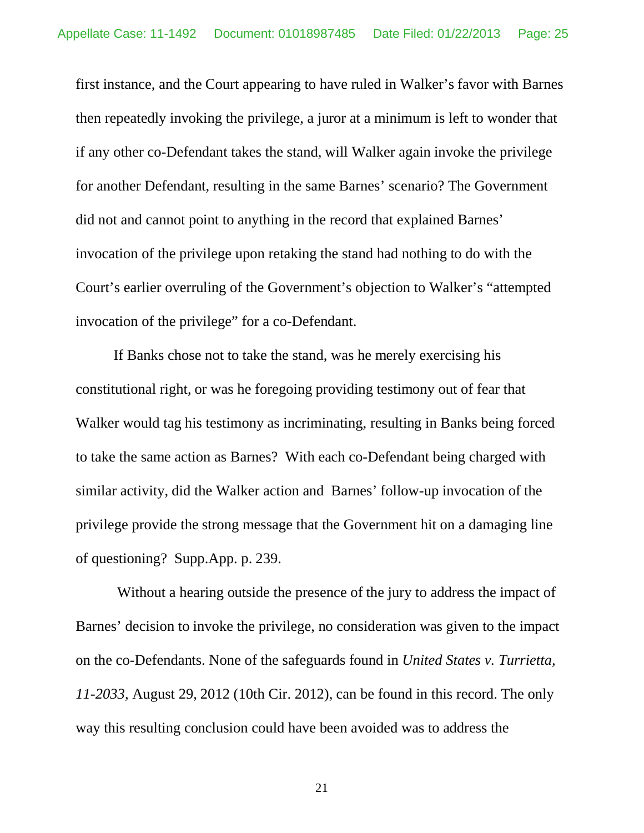first instance, and the Court appearing to have ruled in Walker's favor with Barnes then repeatedly invoking the privilege, a juror at a minimum is left to wonder that if any other co-Defendant takes the stand, will Walker again invoke the privilege for another Defendant, resulting in the same Barnes' scenario? The Government did not and cannot point to anything in the record that explained Barnes' invocation of the privilege upon retaking the stand had nothing to do with the Court's earlier overruling of the Government's objection to Walker's "attempted invocation of the privilege" for a co-Defendant.

If Banks chose not to take the stand, was he merely exercising his constitutional right, or was he foregoing providing testimony out of fear that Walker would tag his testimony as incriminating, resulting in Banks being forced to take the same action as Barnes? With each co-Defendant being charged with similar activity, did the Walker action and Barnes' follow-up invocation of the privilege provide the strong message that the Government hit on a damaging line of questioning? Supp.App. p. 239.

Without a hearing outside the presence of the jury to address the impact of Barnes' decision to invoke the privilege, no consideration was given to the impact on the co-Defendants. None of the safeguards found in *United States v. Turrietta, 11-2033*, August 29, 2012 (10th Cir. 2012), can be found in this record. The only way this resulting conclusion could have been avoided was to address the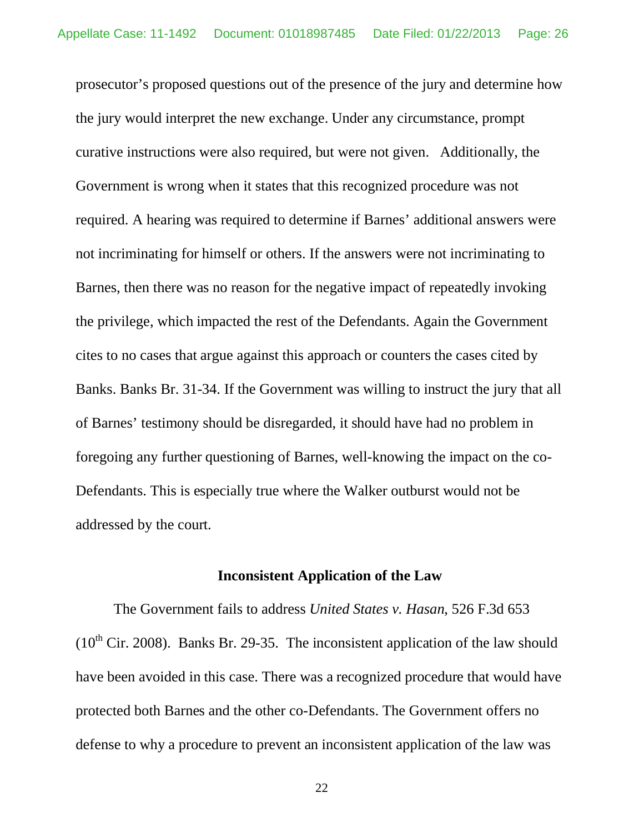prosecutor's proposed questions out of the presence of the jury and determine how the jury would interpret the new exchange. Under any circumstance, prompt curative instructions were also required, but were not given. Additionally, the Government is wrong when it states that this recognized procedure was not required. A hearing was required to determine if Barnes' additional answers were not incriminating for himself or others. If the answers were not incriminating to Barnes, then there was no reason for the negative impact of repeatedly invoking the privilege, which impacted the rest of the Defendants. Again the Government cites to no cases that argue against this approach or counters the cases cited by Banks. Banks Br. 31-34. If the Government was willing to instruct the jury that all of Barnes' testimony should be disregarded, it should have had no problem in foregoing any further questioning of Barnes, well-knowing the impact on the co-Defendants. This is especially true where the Walker outburst would not be addressed by the court.

#### **Inconsistent Application of the Law**

The Government fails to address *United States v. Hasan*, 526 F.3d 653 ( $10^{th}$  Cir. 2008). Banks Br. 29-35. The inconsistent application of the law should have been avoided in this case. There was a recognized procedure that would have protected both Barnes and the other co-Defendants. The Government offers no defense to why a procedure to prevent an inconsistent application of the law was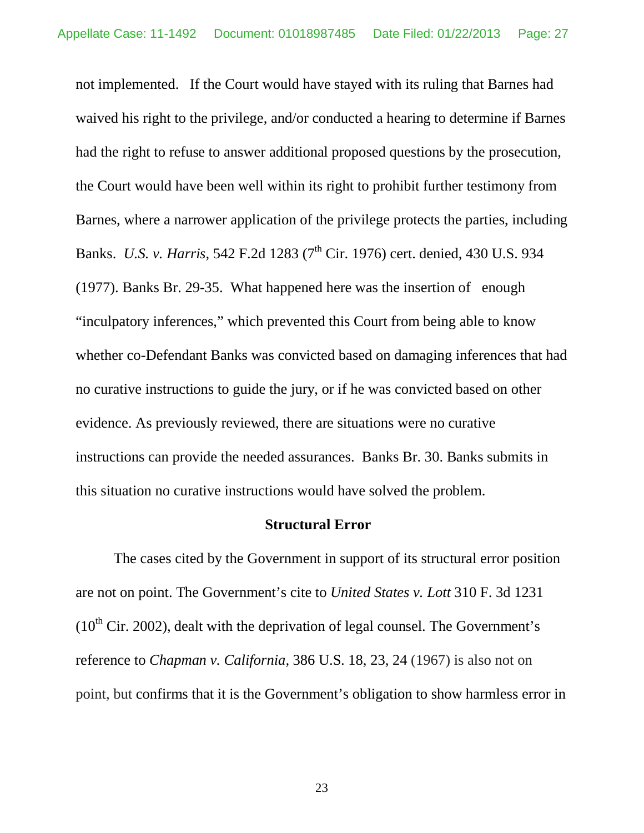not implemented. If the Court would have stayed with its ruling that Barnes had waived his right to the privilege, and/or conducted a hearing to determine if Barnes had the right to refuse to answer additional proposed questions by the prosecution, the Court would have been well within its right to prohibit further testimony from Barnes, where a narrower application of the privilege protects the parties, including Banks. *U.S. v. Harris*, 542 F.2d 1283 (7<sup>th</sup> Cir. 1976) cert. denied, 430 U.S. 934 (1977). Banks Br. 29-35. What happened here was the insertion of enough "inculpatory inferences," which prevented this Court from being able to know whether co-Defendant Banks was convicted based on damaging inferences that had no curative instructions to guide the jury, or if he was convicted based on other evidence. As previously reviewed, there are situations were no curative instructions can provide the needed assurances. Banks Br. 30. Banks submits in this situation no curative instructions would have solved the problem.

#### **Structural Error**

The cases cited by the Government in support of its structural error position are not on point. The Government's cite to *United States v. Lott* 310 F. 3d 1231  $(10<sup>th</sup> Cir. 2002)$ , dealt with the deprivation of legal counsel. The Government's reference to *Chapman v. California,* 386 U.S. 18, 23, 24 (1967) is also not on point, but confirms that it is the Government's obligation to show harmless error in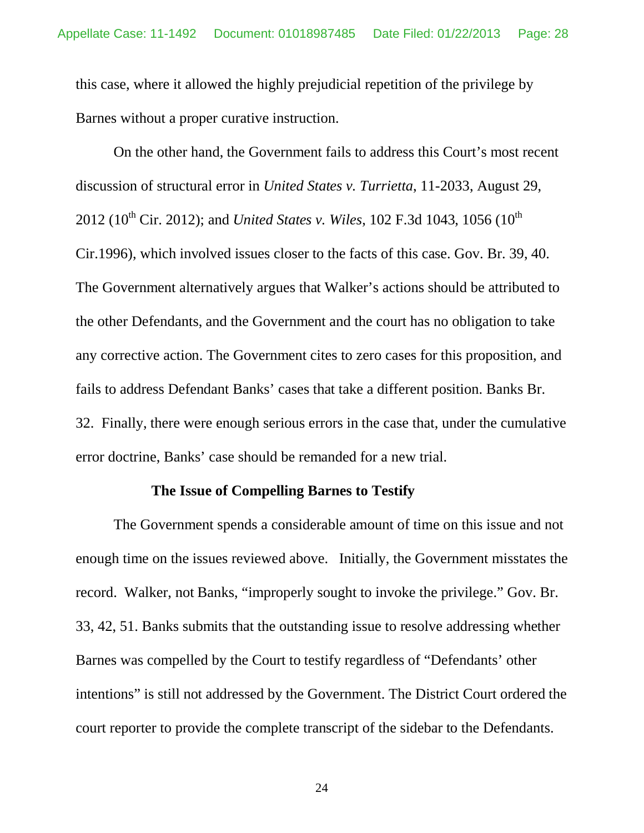this case, where it allowed the highly prejudicial repetition of the privilege by Barnes without a proper curative instruction.

On the other hand, the Government fails to address this Court's most recent discussion of structural error in *United States v. Turrietta*, 11-2033, August 29, 2012 (10<sup>th</sup> Cir. 2012); and *United States v. Wiles*, 102 F.3d 1043, 1056 (10<sup>th</sup>) Cir.1996), which involved issues closer to the facts of this case. Gov. Br. 39, 40. The Government alternatively argues that Walker's actions should be attributed to the other Defendants, and the Government and the court has no obligation to take any corrective action. The Government cites to zero cases for this proposition, and fails to address Defendant Banks' cases that take a different position. Banks Br. 32. Finally, there were enough serious errors in the case that, under the cumulative error doctrine, Banks' case should be remanded for a new trial.

#### **The Issue of Compelling Barnes to Testify**

The Government spends a considerable amount of time on this issue and not enough time on the issues reviewed above. Initially, the Government misstates the record. Walker, not Banks, "improperly sought to invoke the privilege." Gov. Br. 33, 42, 51. Banks submits that the outstanding issue to resolve addressing whether Barnes was compelled by the Court to testify regardless of "Defendants' other intentions" is still not addressed by the Government. The District Court ordered the court reporter to provide the complete transcript of the sidebar to the Defendants.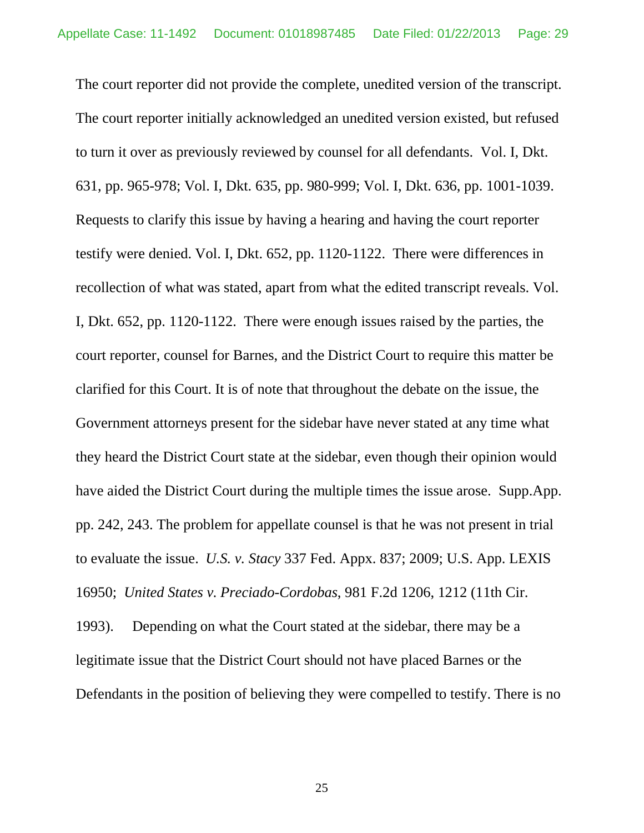The court reporter did not provide the complete, unedited version of the transcript. The court reporter initially acknowledged an unedited version existed, but refused to turn it over as previously reviewed by counsel for all defendants. Vol. I, Dkt. 631, pp. 965-978; Vol. I, Dkt. 635, pp. 980-999; Vol. I, Dkt. 636, pp. 1001-1039. Requests to clarify this issue by having a hearing and having the court reporter testify were denied. Vol. I, Dkt. 652, pp. 1120-1122. There were differences in recollection of what was stated, apart from what the edited transcript reveals. Vol. I, Dkt. 652, pp. 1120-1122. There were enough issues raised by the parties, the court reporter, counsel for Barnes, and the District Court to require this matter be clarified for this Court. It is of note that throughout the debate on the issue, the Government attorneys present for the sidebar have never stated at any time what they heard the District Court state at the sidebar, even though their opinion would have aided the District Court during the multiple times the issue arose. Supp.App. pp. 242, 243. The problem for appellate counsel is that he was not present in trial to evaluate the issue. *U.S. v. Stacy* 337 Fed. Appx. 837; 2009; U.S. App. LEXIS 16950; *United States v. Preciado-Cordobas*, 981 F.2d 1206, 1212 (11th Cir. 1993). Depending on what the Court stated at the sidebar, there may be a legitimate issue that the District Court should not have placed Barnes or the

Defendants in the position of believing they were compelled to testify. There is no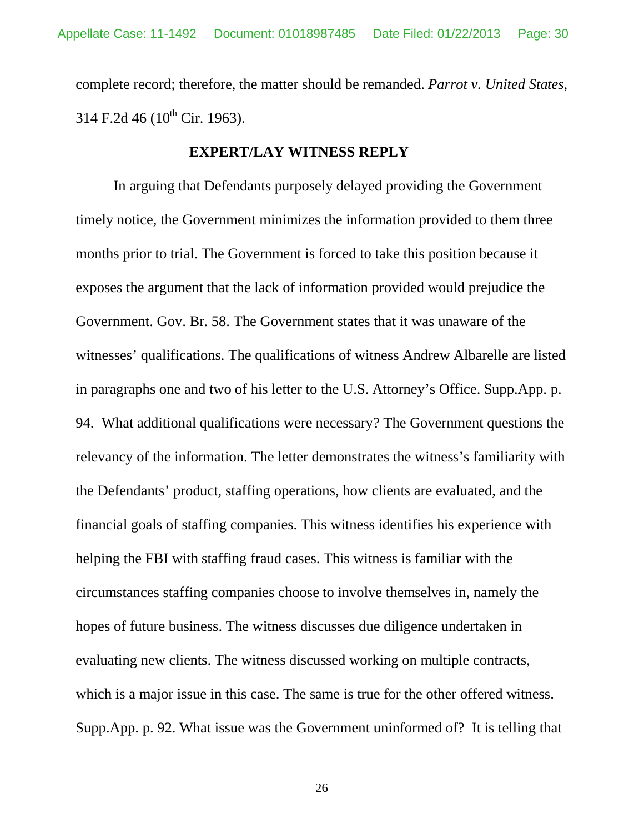complete record; therefore, the matter should be remanded. *Parrot v. United States*, 314 F.2d 46 ( $10^{th}$  Cir. 1963).

## **EXPERT/LAY WITNESS REPLY**

In arguing that Defendants purposely delayed providing the Government timely notice, the Government minimizes the information provided to them three months prior to trial. The Government is forced to take this position because it exposes the argument that the lack of information provided would prejudice the Government. Gov. Br. 58. The Government states that it was unaware of the witnesses' qualifications. The qualifications of witness Andrew Albarelle are listed in paragraphs one and two of his letter to the U.S. Attorney's Office. Supp.App. p. 94. What additional qualifications were necessary? The Government questions the relevancy of the information. The letter demonstrates the witness's familiarity with the Defendants' product, staffing operations, how clients are evaluated, and the financial goals of staffing companies. This witness identifies his experience with helping the FBI with staffing fraud cases. This witness is familiar with the circumstances staffing companies choose to involve themselves in, namely the hopes of future business. The witness discusses due diligence undertaken in evaluating new clients. The witness discussed working on multiple contracts, which is a major issue in this case. The same is true for the other offered witness. Supp.App. p. 92. What issue was the Government uninformed of? It is telling that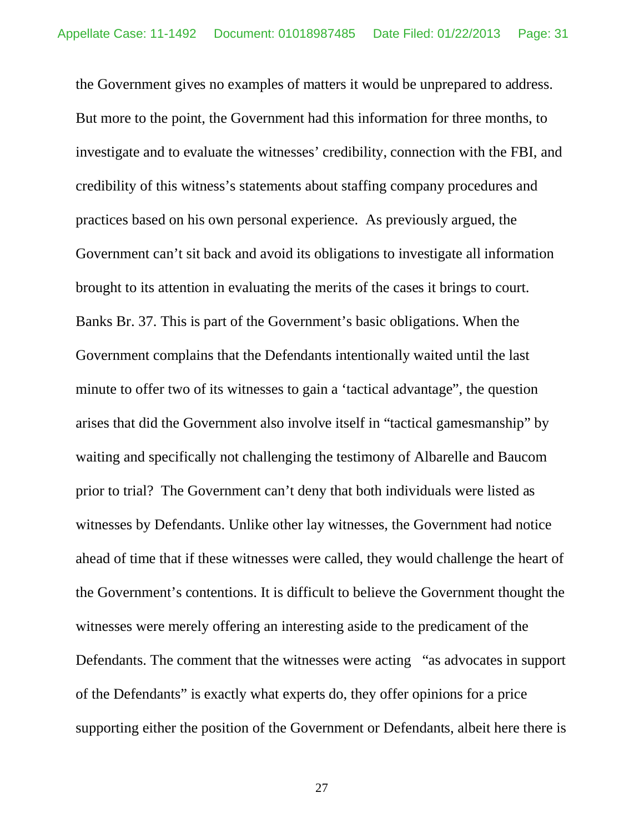the Government gives no examples of matters it would be unprepared to address. But more to the point, the Government had this information for three months, to investigate and to evaluate the witnesses' credibility, connection with the FBI, and credibility of this witness's statements about staffing company procedures and practices based on his own personal experience. As previously argued, the Government can't sit back and avoid its obligations to investigate all information brought to its attention in evaluating the merits of the cases it brings to court. Banks Br. 37. This is part of the Government's basic obligations. When the Government complains that the Defendants intentionally waited until the last minute to offer two of its witnesses to gain a 'tactical advantage", the question arises that did the Government also involve itself in "tactical gamesmanship" by waiting and specifically not challenging the testimony of Albarelle and Baucom prior to trial? The Government can't deny that both individuals were listed as witnesses by Defendants. Unlike other lay witnesses, the Government had notice ahead of time that if these witnesses were called, they would challenge the heart of the Government's contentions. It is difficult to believe the Government thought the witnesses were merely offering an interesting aside to the predicament of the Defendants. The comment that the witnesses were acting "as advocates in support of the Defendants" is exactly what experts do, they offer opinions for a price supporting either the position of the Government or Defendants, albeit here there is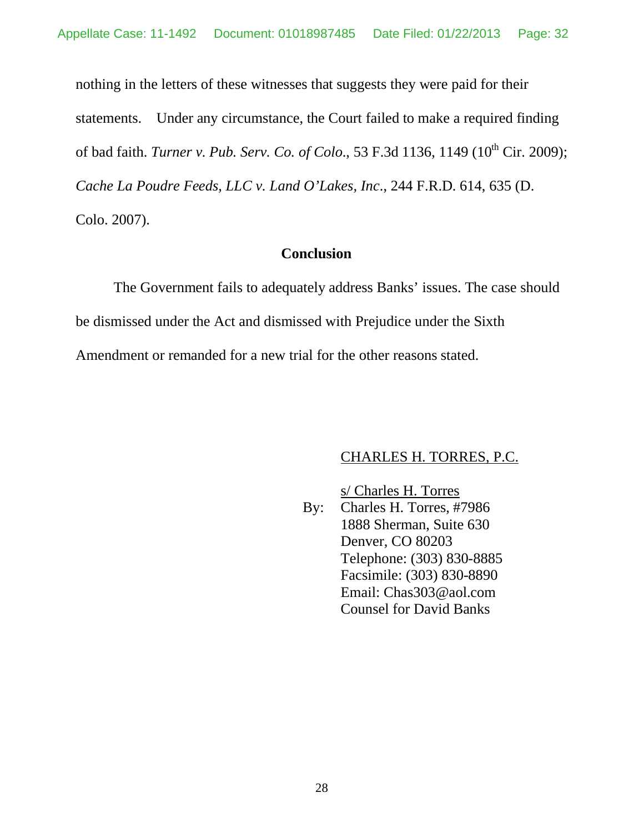nothing in the letters of these witnesses that suggests they were paid for their statements. Under any circumstance, the Court failed to make a required finding of bad faith. *Turner v. Pub. Serv. Co. of Colo.*, 53 F.3d 1136, 1149 (10<sup>th</sup> Cir. 2009); *Cache La Poudre Feeds, LLC v. Land O'Lakes, Inc*., 244 F.R.D. 614, 635 (D. Colo. 2007).

# **Conclusion**

The Government fails to adequately address Banks' issues. The case should be dismissed under the Act and dismissed with Prejudice under the Sixth Amendment or remanded for a new trial for the other reasons stated.

# CHARLES H. TORRES, P.C.

s/ Charles H. Torres

By: Charles H. Torres, #7986 1888 Sherman, Suite 630 Denver, CO 80203 Telephone: (303) 830-8885 Facsimile: (303) 830-8890 Email: Chas303@aol.com Counsel for David Banks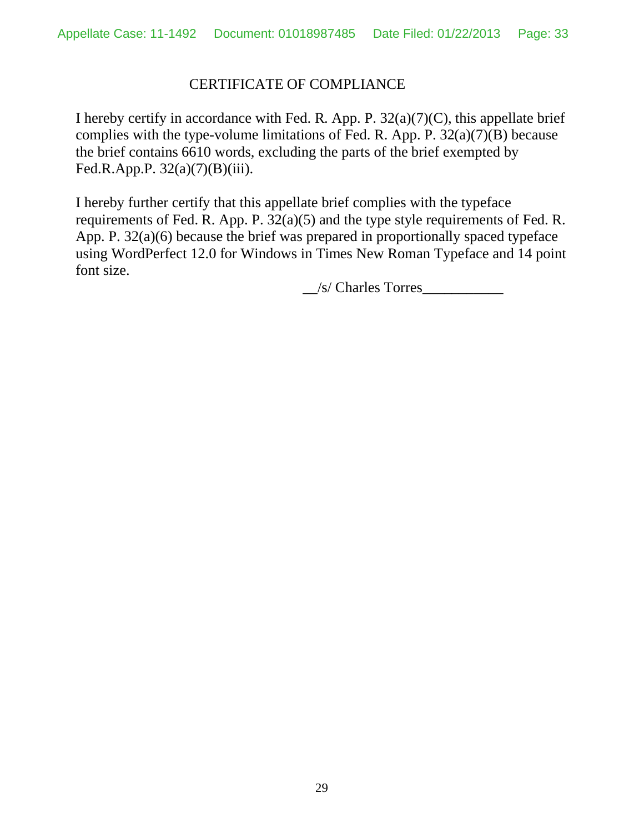# CERTIFICATE OF COMPLIANCE

I hereby certify in accordance with Fed. R. App. P.  $32(a)(7)(C)$ , this appellate brief complies with the type-volume limitations of Fed. R. App. P. 32(a)(7)(B) because the brief contains 6610 words, excluding the parts of the brief exempted by Fed.R.App.P.  $32(a)(7)(B)(iii)$ .

I hereby further certify that this appellate brief complies with the typeface requirements of Fed. R. App. P. 32(a)(5) and the type style requirements of Fed. R. App. P. 32(a)(6) because the brief was prepared in proportionally spaced typeface using WordPerfect 12.0 for Windows in Times New Roman Typeface and 14 point font size.

 $\angle$ /s/ Charles Torres $\angle$